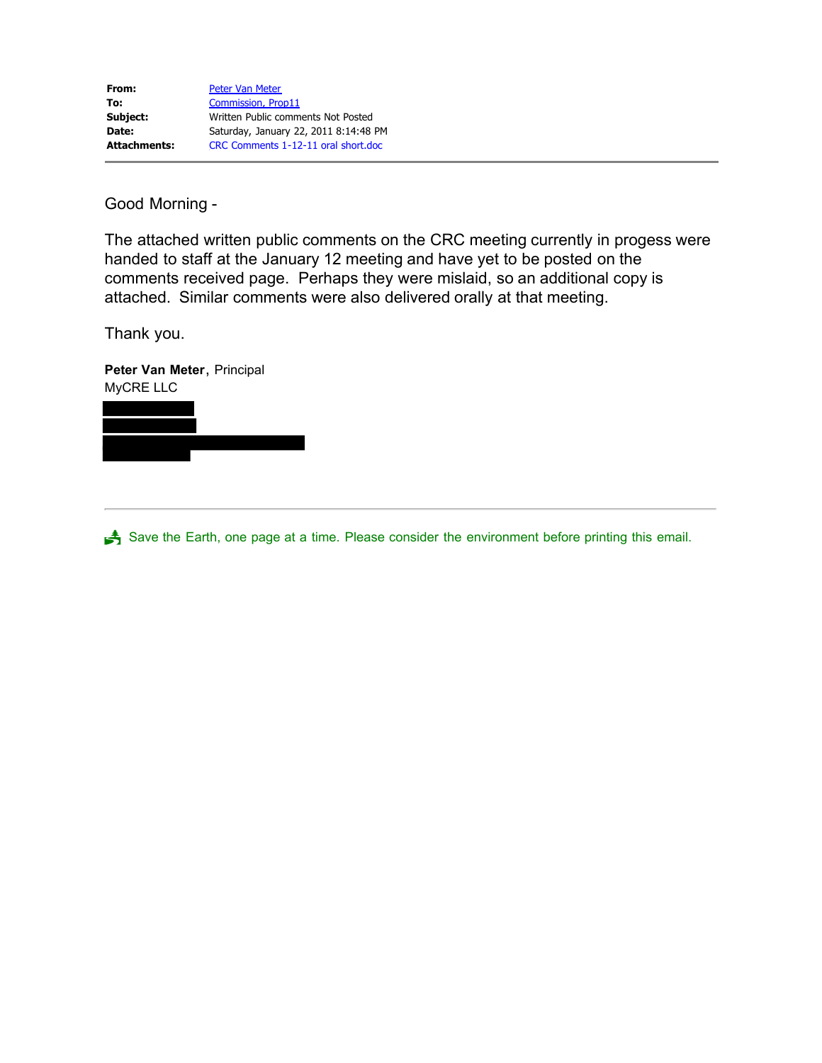Good Morning -

The attached written public comments on the CRC meeting currently in progess were handed to staff at the January 12 meeting and have yet to be posted on the comments received page. Perhaps they were mislaid, so an additional copy is attached. Similar comments were also delivered orally at that meeting.

Thank you.

**Peter Van Meter**, Principal MyCRE LLC

Save the Earth, one page at a time. Please consider the environment before printing this email.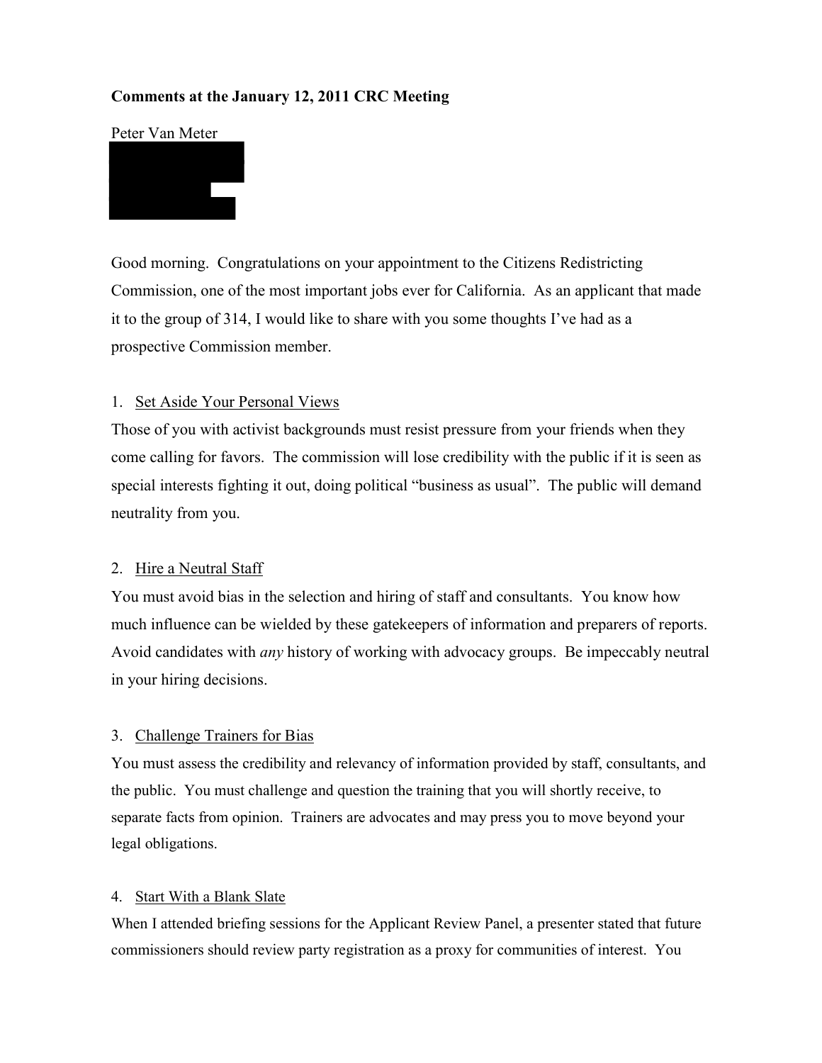# **Comments at the January 12, 2011 CRC Meeting**

### Peter Van Meter



Good morning. Congratulations on your appointment to the Citizens Redistricting Commission, one of the most important jobs ever for California. As an applicant that made it to the group of 314, I would like to share with you some thoughts I've had as a prospective Commission member.

### 1. Set Aside Your Personal Views

Those of you with activist backgrounds must resist pressure from your friends when they come calling for favors. The commission will lose credibility with the public if it is seen as special interests fighting it out, doing political "business as usual". The public will demand neutrality from you.

## 2. Hire a Neutral Staff

You must avoid bias in the selection and hiring of staff and consultants. You know how much influence can be wielded by these gatekeepers of information and preparers of reports. Avoid candidates with *any* history of working with advocacy groups. Be impeccably neutral in your hiring decisions.

### 3. Challenge Trainers for Bias

You must assess the credibility and relevancy of information provided by staff, consultants, and the public. You must challenge and question the training that you will shortly receive, to separate facts from opinion. Trainers are advocates and may press you to move beyond your legal obligations.

### 4. Start With a Blank Slate

When I attended briefing sessions for the Applicant Review Panel, a presenter stated that future commissioners should review party registration as a proxy for communities of interest. You